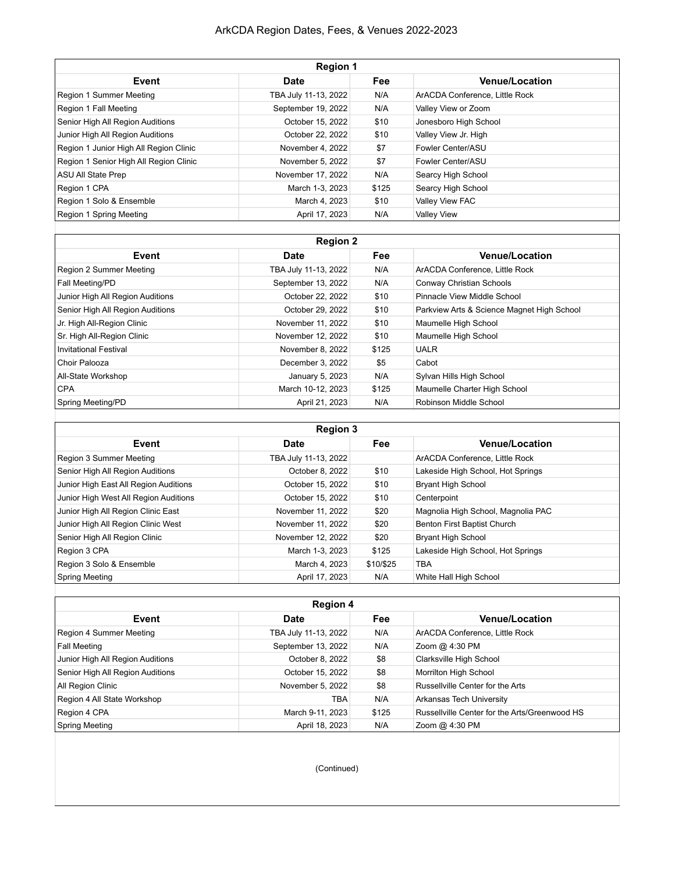## ArkCDA Region Dates, Fees, & Venues 2022-2023

| <b>Region 1</b>                        |                      |       |                                |  |
|----------------------------------------|----------------------|-------|--------------------------------|--|
| Event                                  | <b>Date</b>          | Fee   | <b>Venue/Location</b>          |  |
| Region 1 Summer Meeting                | TBA July 11-13, 2022 | N/A   | ArACDA Conference, Little Rock |  |
| Region 1 Fall Meeting                  | September 19, 2022   | N/A   | Valley View or Zoom            |  |
| Senior High All Region Auditions       | October 15, 2022     | \$10  | Jonesboro High School          |  |
| Junior High All Region Auditions       | October 22, 2022     | \$10  | Valley View Jr. High           |  |
| Region 1 Junior High All Region Clinic | November 4, 2022     | \$7   | Fowler Center/ASU              |  |
| Region 1 Senior High All Region Clinic | November 5, 2022     | \$7   | Fowler Center/ASU              |  |
| ASU All State Prep                     | November 17, 2022    | N/A   | Searcy High School             |  |
| Region 1 CPA                           | March 1-3, 2023      | \$125 | Searcy High School             |  |
| Region 1 Solo & Ensemble               | March 4, 2023        | \$10  | Valley View FAC                |  |
| Region 1 Spring Meeting                | April 17, 2023       | N/A   | <b>Valley View</b>             |  |

| <b>Region 2</b>                  |                      |            |                                            |
|----------------------------------|----------------------|------------|--------------------------------------------|
| Event                            | <b>Date</b>          | <b>Fee</b> | <b>Venue/Location</b>                      |
| Region 2 Summer Meeting          | TBA July 11-13, 2022 | N/A        | ArACDA Conference, Little Rock             |
| Fall Meeting/PD                  | September 13, 2022   | N/A        | Conway Christian Schools                   |
| Junior High All Region Auditions | October 22, 2022     | \$10       | Pinnacle View Middle School                |
| Senior High All Region Auditions | October 29, 2022     | \$10       | Parkview Arts & Science Magnet High School |
| Jr. High All-Region Clinic       | November 11, 2022    | \$10       | Maumelle High School                       |
| Sr. High All-Region Clinic       | November 12, 2022    | \$10       | Maumelle High School                       |
| Invitational Festival            | November 8, 2022     | \$125      | <b>UALR</b>                                |
| Choir Palooza                    | December 3, 2022     | \$5        | Cabot                                      |
| All-State Workshop               | January 5, 2023      | N/A        | Sylvan Hills High School                   |
| <b>CPA</b>                       | March 10-12, 2023    | \$125      | Maumelle Charter High School               |
| Spring Meeting/PD                | April 21, 2023       | N/A        | Robinson Middle School                     |
|                                  |                      |            |                                            |

| <b>Region 3</b>                       |                      |            |                                    |  |
|---------------------------------------|----------------------|------------|------------------------------------|--|
| Event                                 | <b>Date</b>          | <b>Fee</b> | <b>Venue/Location</b>              |  |
| Region 3 Summer Meeting               | TBA July 11-13, 2022 |            | ArACDA Conference. Little Rock     |  |
| Senior High All Region Auditions      | October 8, 2022      | \$10       | Lakeside High School, Hot Springs  |  |
| Junior High East All Region Auditions | October 15, 2022     | \$10       | <b>Bryant High School</b>          |  |
| Junior High West All Region Auditions | October 15, 2022     | \$10       | Centerpoint                        |  |
| Junior High All Region Clinic East    | November 11, 2022    | \$20       | Magnolia High School, Magnolia PAC |  |
| Junior High All Region Clinic West    | November 11, 2022    | \$20       | Benton First Baptist Church        |  |
| Senior High All Region Clinic         | November 12, 2022    | \$20       | <b>Bryant High School</b>          |  |
| Region 3 CPA                          | March 1-3, 2023      | \$125      | Lakeside High School, Hot Springs  |  |
| Region 3 Solo & Ensemble              | March 4, 2023        | \$10/\$25  | <b>TBA</b>                         |  |
| Spring Meeting                        | April 17, 2023       | N/A        | White Hall High School             |  |
|                                       |                      |            |                                    |  |

| <b>Region 4</b>                  |                      |            |                                               |
|----------------------------------|----------------------|------------|-----------------------------------------------|
| Event                            | <b>Date</b>          | <b>Fee</b> | <b>Venue/Location</b>                         |
| Region 4 Summer Meeting          | TBA July 11-13, 2022 | N/A        | ArACDA Conference, Little Rock                |
| Fall Meeting                     | September 13, 2022   | N/A        | Zoom @ 4:30 PM                                |
| Junior High All Region Auditions | October 8, 2022      | \$8        | Clarksville High School                       |
| Senior High All Region Auditions | October 15, 2022     | \$8        | Morrilton High School                         |
| All Region Clinic                | November 5, 2022     | \$8        | Russellville Center for the Arts              |
| Region 4 All State Workshop      | TBA                  | N/A        | Arkansas Tech University                      |
| Region 4 CPA                     | March 9-11, 2023     | \$125      | Russellville Center for the Arts/Greenwood HS |
| Spring Meeting                   | April 18, 2023       | N/A        | Zoom @ 4:30 PM                                |

(Continued)